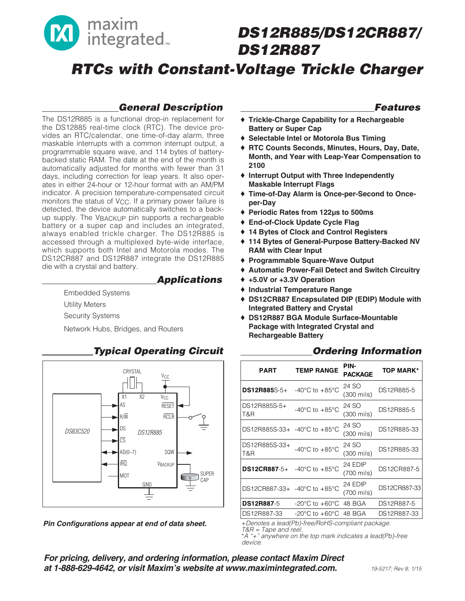

# **DS12R885/DS12CR887/ DS12R887**

**RTCs with Constant-Voltage Trickle Charger**

## **General Description**

The DS12R885 is a functional drop-in replacement for the DS12885 real-time clock (RTC). The device provides an RTC/calendar, one time-of-day alarm, three maskable interrupts with a common interrupt output, a programmable square wave, and 114 bytes of batterybacked static RAM. The date at the end of the month is automatically adjusted for months with fewer than 31 days, including correction for leap years. It also operates in either 24-hour or 12-hour format with an AM/PM indicator. A precision temperature-compensated circuit monitors the status of  $V_{CC}$ . If a primary power failure is detected, the device automatically switches to a backup supply. The VBACKUP pin supports a rechargeable battery or a super cap and includes an integrated, always enabled trickle charger. The DS12R885 is accessed through a multiplexed byte-wide interface, which supports both Intel and Motorola modes. The DS12CR887 and DS12R887 integrate the DS12R885 die with a crystal and battery.

### **Applications**

Embedded Systems

Utility Meters

Security Systems

Network Hubs, Bridges, and Routers



# **Typical Operating Circuit**

**Pin Configurations appear at end of data sheet.** +Denotes a lead(Pb)-free/RoHS-compliant package.

### **Features**

- **Trickle-Charge Capability for a Rechargeable Battery or Super Cap**
- ♦ **Selectable Intel or Motorola Bus Timing**
- ♦ **RTC Counts Seconds, Minutes, Hours, Day, Date, Month, and Year with Leap-Year Compensation to 2100**
- ♦ **Interrupt Output with Three Independently Maskable Interrupt Flags**
- ♦ **Time-of-Day Alarm is Once-per-Second to Onceper-Day**
- ♦ **Periodic Rates from 122μs to 500ms**
- ♦ **End-of-Clock Update Cycle Flag**
- ♦ **14 Bytes of Clock and Control Registers**
- ♦ **114 Bytes of General-Purpose Battery-Backed NV RAM with Clear Input**
- ♦ **Programmable Square-Wave Output**
- ♦ **Automatic Power-Fail Detect and Switch Circuitry**
- ♦ **+5.0V or +3.3V Operation**
- ♦ **Industrial Temperature Range**
- ♦ **DS12CR887 Encapsulated DIP (EDIP) Module with Integrated Battery and Crystal**
- ♦ **DS12R887 BGA Module Surface-Mountable Package with Integrated Crystal and Rechargeable Battery**

### **Ordering Information**

| <b>PART</b>                  | <b>TEMP RANGE</b>                                                      | PIN-<br><b>PACKAGE</b> | <b>TOP MARK*</b> |
|------------------------------|------------------------------------------------------------------------|------------------------|------------------|
| DS12R885S-5+                 | -40 $^{\circ}$ C to +85 $^{\circ}$ C                                   | 24 SO<br>(300 mils)    | DS12R885-5       |
| DS12R885S-5+<br>T&R          | -40 $^{\circ}$ C to +85 $^{\circ}$ C                                   | 24 SO<br>(300 mils)    | DS12R885-5       |
| DS12R885S-33+ -40°C to +85°C |                                                                        | 24 SO<br>(300 mils)    | DS12R885-33      |
| DS12R885S-33+<br>T&R         | -40 $^{\circ}$ C to +85 $^{\circ}$ C                                   | 24 SO<br>(300 mils)    | DS12R885-33      |
| <b>DS12CR887-5+</b>          | -40 $^{\circ}$ C to +85 $^{\circ}$ C                                   | 24 EDIP<br>(700 mils)  | DS12CR887-5      |
| DS12CR887-33+ -40°C to +85°C |                                                                        | 24 EDIP<br>(700 mils)  | DS12CR887-33     |
| <b>DS12R887-5</b>            | $-20^{\circ}$ C to $+60^{\circ}$ C                                     | 48 BGA                 | DS12R887-5       |
| DS12R887-33                  | $-20^{\circ}$ C to $+60^{\circ}$ C<br>$1/\sum_{i=1}^{n}$<br>$\sqrt{2}$ | 48 BGA                 | DS12R887-33      |

T&R = Tape and reel.

\*A "+" anywhere on the top mark indicates a lead(Pb)-free device.

**For pricing, delivery, and ordering information, please contact Maxim Direct at 1-888-629-4642, or visit Maxim's website at www.maximintegrated.com.**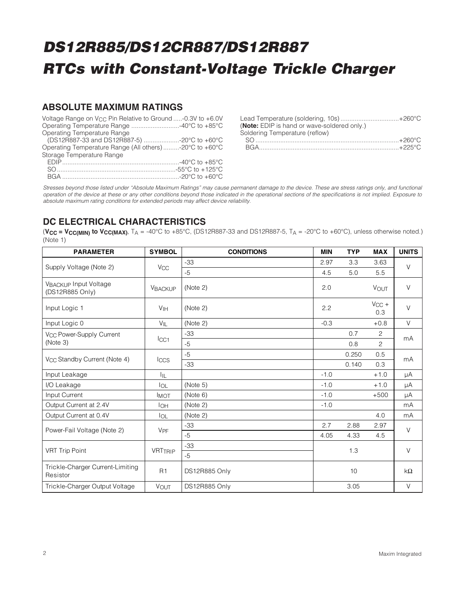### **ABSOLUTE MAXIMUM RATINGS**

| Voltage Range on $V_{CC}$ Pin Relative to Ground -0.3V to +6.0V |  |
|-----------------------------------------------------------------|--|
| Operating Temperature Range 40°C to +85°C                       |  |
| Operating Temperature Range                                     |  |
| (DS12R887-33 and DS12R887-5) -20°C to +60°C                     |  |
| Operating Temperature Range (All others) -20°C to +60°C         |  |
| Storage Temperature Range                                       |  |
|                                                                 |  |
|                                                                 |  |

| Lead Temperature (soldering, 10s)+260°C     |  |
|---------------------------------------------|--|
| (Note: EDIP is hand or wave-soldered only.) |  |
| Soldering Temperature (reflow)              |  |
|                                             |  |
|                                             |  |

Stresses beyond those listed under "Absolute Maximum Ratings" may cause permanent damage to the device. These are stress ratings only, and functional operation of the device at these or any other conditions beyond those indicated in the operational sections of the specifications is not implied. Exposure to absolute maximum rating conditions for extended periods may affect device reliability.

# **DC ELECTRICAL CHARACTERISTICS**

( $VC = VCCMIN$ ) **to**  $VCCMAX$ ),  $TA = -40^{\circ}C$  to  $+85^{\circ}C$ , (DS12R887-33 and DS12R887-5,  $TA = -20^{\circ}C$  to  $+60^{\circ}C$ ), unless otherwise noted.) (Note 1)

| <b>PARAMETER</b>                             | <b>SYMBOL</b>         | <b>CONDITIONS</b> | <b>MIN</b> | <b>TYP</b> | <b>MAX</b>        | <b>UNITS</b> |
|----------------------------------------------|-----------------------|-------------------|------------|------------|-------------------|--------------|
| Supply Voltage (Note 2)                      | <b>V<sub>CC</sub></b> | $-33$             | 2.97       | 3.3        | 3.63              | $\vee$       |
|                                              |                       | $-5$              | 4.5        | 5.0        | 5.5               |              |
| VBACKUP Input Voltage<br>(DS12R885 Only)     | <b>VBACKUP</b>        | (Note 2)          | 2.0        |            | VOUT              | $\vee$       |
| Input Logic 1                                | V <sub>IH</sub>       | (Note 2)          | 2.2        |            | $V_{CC}$ +<br>0.3 | $\vee$       |
| Input Logic 0                                | $V_{\parallel L}$     | (Note 2)          | $-0.3$     |            | $+0.8$            | $\vee$       |
| V <sub>CC</sub> Power-Supply Current         |                       | $-33$             |            | 0.7        | $\overline{2}$    | mA           |
| (Note 3)                                     | ICC1                  | $-5$              |            | 0.8        | $\overline{2}$    |              |
| V <sub>CC</sub> Standby Current (Note 4)     | <b>Iccs</b>           | $-5$              |            | 0.250      | 0.5               | mA           |
|                                              |                       | $-33$             |            | 0.140      | 0.3               |              |
| Input Leakage                                | ÌЩ.                   |                   | $-1.0$     |            | $+1.0$            | μA           |
| I/O Leakage                                  | $I_{OL}$              | (Note 5)          | $-1.0$     |            | $+1.0$            | μA           |
| Input Current                                | <b>IMOT</b>           | (Note 6)          | $-1.0$     |            | $+500$            | μA           |
| Output Current at 2.4V                       | $I_{OH}$              | (Note 2)          | $-1.0$     |            |                   | mA           |
| Output Current at 0.4V                       | <b>I</b> OL           | (Note 2)          |            |            | 4.0               | mA           |
| Power-Fail Voltage (Note 2)                  | V <sub>PF</sub>       | -33               | 2.7        | 2.88       | 2.97              | $\vee$       |
|                                              |                       | $-5$              | 4.05       | 4.33       | 4.5               |              |
| <b>VRT Trip Point</b>                        | <b>VRTTRIP</b>        | $-33$             | 1.3        |            |                   | V            |
|                                              |                       | $-5$              |            |            |                   |              |
| Trickle-Charger Current-Limiting<br>Resistor | R1                    | DS12R885 Only     |            | 10         |                   | $k\Omega$    |
| Trickle-Charger Output Voltage               | <b>VOUT</b>           | DS12R885 Only     |            | 3.05       |                   | $\vee$       |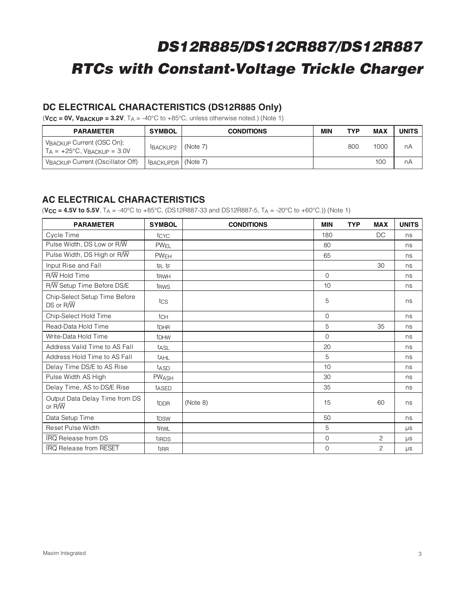## **DC ELECTRICAL CHARACTERISTICS (DS12R885 Only)**

 $(**V_{CC** = **OV**, **V BACKUP** = **3.2V**,  $T_A = -40^{\circ}$ C to  $+85^{\circ}$ C, unless otherwise noted.) (Note 1)$ 

| <b>PARAMETER</b>                                                        | <b>SYMBOL</b>          | <b>CONDITIONS</b> | MIN | <b>TYP</b> | <b>MAX</b> | UNITS |
|-------------------------------------------------------------------------|------------------------|-------------------|-----|------------|------------|-------|
| VBACKUP Current (OSC On);<br>$T_A = +25^{\circ}C$ , $V_{BACKUP} = 3.0V$ | BACKUP2                | (Note 7)          |     | 800        | 1000       | nA    |
| VBACKUP Current (Oscillator Off)                                        | ' IBACKUPDR   (Note 7) |                   |     |            | 100        | nA    |

### **AC ELECTRICAL CHARACTERISTICS**

 $(**V_{CC}** = 4.5**V**$  to 5.5**V**, T<sub>A</sub> = -40°C to +85°C, (DS12R887-33 and DS12R887-5, T<sub>A</sub> = -20°C to +60°C.)) (Note 1)

| <b>PARAMETER</b>                                          | <b>SYMBOL</b>           | <b>CONDITIONS</b> | <b>MIN</b>  | <b>TYP</b> | <b>MAX</b>     | <b>UNITS</b> |
|-----------------------------------------------------------|-------------------------|-------------------|-------------|------------|----------------|--------------|
| Cycle Time                                                | tcyc                    |                   | 180         |            | DC             | ns           |
| Pulse Width, DS Low or R/W                                | PW <sub>EL</sub>        |                   | 80          |            |                | ns           |
| Pulse Width, DS High or R/W                               | PWEH                    |                   | 65          |            |                | ns           |
| Input Rise and Fall                                       | $t_R$ , $t_F$           |                   |             |            | 30             | ns           |
| $R/\overline{W}$ Hold Time                                | t <sub>RWH</sub>        |                   | $\mathbf 0$ |            |                | ns           |
| R/W Setup Time Before DS/E                                | t <sub>RWS</sub>        |                   | 10          |            |                | ns           |
| Chip-Select Setup Time Before<br>$DS$ or $R/\overline{W}$ | tcs                     |                   | 5           |            |                | ns           |
| Chip-Select Hold Time                                     | tcH                     |                   | $\mathbf 0$ |            |                | ns           |
| Read-Data Hold Time                                       | <b>t</b> <sub>DHR</sub> |                   | 5           |            | 35             | ns           |
| Write-Data Hold Time                                      | t <sub>DHW</sub>        |                   | 0           |            |                | ns           |
| Address Valid Time to AS Fall                             | tasL                    |                   | 20          |            |                | ns           |
| Address Hold Time to AS Fall                              | <b>tAHL</b>             |                   | 5           |            |                | ns           |
| Delay Time DS/E to AS Rise                                | tasp                    |                   | 10          |            |                | ns           |
| Pulse Width AS High                                       | <b>PWASH</b>            |                   | 30          |            |                | ns           |
| Delay Time, AS to DS/E Rise                               | t <sub>ASED</sub>       |                   | 35          |            |                | ns           |
| Output Data Delay Time from DS<br>or $R/\sqrt{W}$         | t <sub>DDR</sub>        | (Note 8)          | 15          |            | 60             | ns           |
| Data Setup Time                                           | t <sub>DSW</sub>        |                   | 50          |            |                | ns           |
| Reset Pulse Width                                         | t <sub>RWL</sub>        |                   | 5           |            |                | μs           |
| <b>IRQ</b> Release from DS                                | tirps                   |                   | $\mathbf 0$ |            | 2              | μs           |
| <b>IRQ</b> Release from RESET                             | t <sub>IRR</sub>        |                   | 0           |            | $\overline{c}$ | $\mu s$      |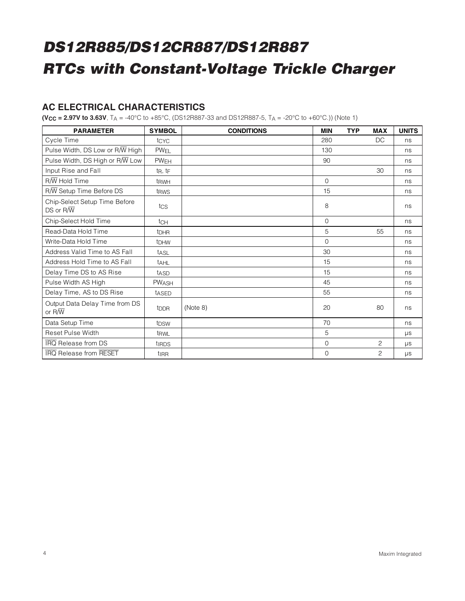### **AC ELECTRICAL CHARACTERISTICS**

**(V<sub>CC</sub>** = **2.97V to 3.63V**,  $T_A$  = -40°C to +85°C, (DS12R887-33 and DS12R887-5,  $T_A$  = -20°C to +60°C.)) (Note 1)

| <b>PARAMETER</b>                                          | <b>SYMBOL</b>             | <b>CONDITIONS</b> | <b>MIN</b>  | <b>TYP</b> | <b>MAX</b>     | <b>UNITS</b> |
|-----------------------------------------------------------|---------------------------|-------------------|-------------|------------|----------------|--------------|
| Cycle Time                                                | tcyc                      |                   | 280         |            | DC             | ns           |
| Pulse Width, DS Low or R/W High                           | <b>PW<sub>EL</sub></b>    |                   | 130         |            |                | ns           |
| Pulse Width, DS High or R/W Low                           | <b>PWEH</b>               |                   | 90          |            |                | ns           |
| Input Rise and Fall                                       | $t_{\rm R}$ , $t_{\rm F}$ |                   |             |            | 30             | ns           |
| $R\overline{W}$ Hold Time                                 | t <sub>RWH</sub>          |                   | $\Omega$    |            |                | ns           |
| R/W Setup Time Before DS                                  | t <sub>RWS</sub>          |                   | 15          |            |                | ns           |
| Chip-Select Setup Time Before<br>$DS$ or $R/\overline{W}$ | tcs                       |                   | 8           |            |                | ns           |
| Chip-Select Hold Time                                     | tch                       |                   | $\mathbf 0$ |            |                | ns           |
| Read-Data Hold Time                                       | <b>t</b> <sub>DHR</sub>   |                   | 5           |            | 55             | ns           |
| Write-Data Hold Time                                      | <b>t</b> DHW              |                   | $\Omega$    |            |                | ns           |
| Address Valid Time to AS Fall                             | tası                      |                   | 30          |            |                | ns           |
| Address Hold Time to AS Fall                              | <sup>t</sup> AHL          |                   | 15          |            |                | ns           |
| Delay Time DS to AS Rise                                  | tasp                      |                   | 15          |            |                | ns           |
| Pulse Width AS High                                       | PWASH                     |                   | 45          |            |                | ns           |
| Delay Time, AS to DS Rise                                 | tased                     |                   | 55          |            |                | ns           |
| Output Data Delay Time from DS<br>or $R/\overline{W}$     | t <sub>DDR</sub>          | (Note 8)          | 20          |            | 80             | ns           |
| Data Setup Time                                           | t <sub>DSW</sub>          |                   | 70          |            |                | ns           |
| Reset Pulse Width                                         | t <sub>RWL</sub>          |                   | 5           |            |                | <b>US</b>    |
| <b>IRQ</b> Release from DS                                | tiRDS                     |                   | $\Omega$    |            | 2              | <b>US</b>    |
| <b>IRQ</b> Release from RESET                             | t <sub>IRR</sub>          |                   | $\mathbf 0$ |            | $\overline{c}$ | $\mu s$      |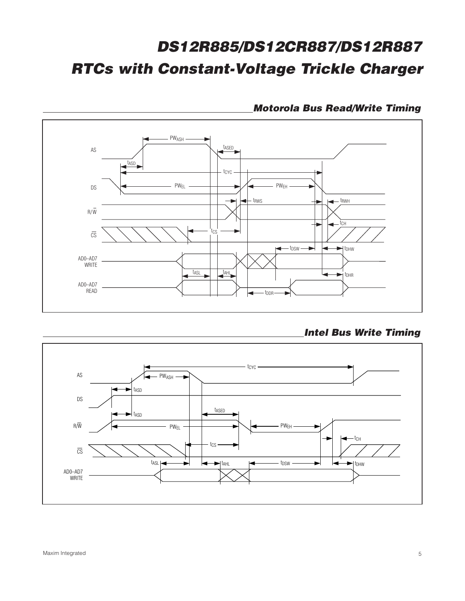

## **Motorola Bus Read/Write Timing**

**Intel Bus Write Timing**

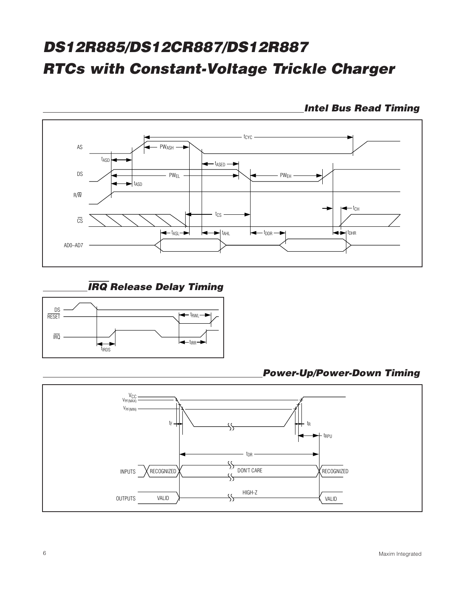

**Intel Bus Read Timing**

# IRQ **Release Delay Timing**



**Power-Up/Power-Down Timing**

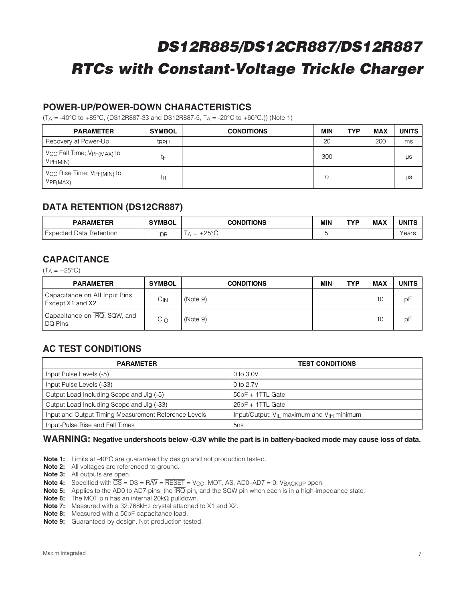## **POWER-UP/POWER-DOWN CHARACTERISTICS**

 $(T_A = -40^{\circ}C \text{ to } +85^{\circ}C$ , (DS12R887-33 and DS12R887-5,  $T_A = -20^{\circ}C \text{ to } +60^{\circ}C$ .)) (Note 1)

| <b>PARAMETER</b>                                               | <b>SYMBOL</b> | <b>CONDITIONS</b> | MIN | <b>TYP</b> | MAX | <b>UNITS</b> |
|----------------------------------------------------------------|---------------|-------------------|-----|------------|-----|--------------|
| Recovery at Power-Up                                           | trpu          |                   | 20  |            | 200 | ms           |
| V <sub>CC</sub> Fall Time; V <sub>PF(MAX)</sub> to<br>VPF(MIN) | tF            |                   | 300 |            |     | μs           |
| V <sub>CC</sub> Rise Time; V <sub>PF(MIN)</sub> to<br>VPF(MAX) | tR            |                   | 0   |            |     | μs           |

### **DATA RETENTION (DS12CR887)**

| <b>PARAMETER</b>            | <b>SYMBOL</b> | <b>CONDITIONS</b>                           | MIN | TVP | <b>MAX</b> | UNIT! |
|-----------------------------|---------------|---------------------------------------------|-----|-----|------------|-------|
| ' Expected Data Retention I | tdr           | 0.500<br>-<br>-<br>$\overline{\phantom{a}}$ |     |     |            | ears' |

### **CAPACITANCE**

 $(T_A = +25$ °C)

| <b>PARAMETER</b>                                  | <b>SYMBOL</b> | <b>CONDITIONS</b> | MIN | <b>TYP</b> | <b>MAX</b> | <b>UNITS</b> |
|---------------------------------------------------|---------------|-------------------|-----|------------|------------|--------------|
| Capacitance on All Input Pins<br>Except X1 and X2 | Сıм           | (Note 9)          |     |            | 10         | pF           |
| Capacitance on IRQ, SQW, and<br>l DQ Pins         | Cıo           | (Note 9)          |     |            | 10         | рF           |

## **AC TEST CONDITIONS**

| <b>PARAMETER</b>                                     | <b>TEST CONDITIONS</b>                                            |
|------------------------------------------------------|-------------------------------------------------------------------|
| Input Pulse Levels (-5)                              | 0 to 3.0V                                                         |
| Input Pulse Levels (-33)                             | 0 to 2.7V                                                         |
| Output Load Including Scope and Jig (-5)             | 50pF + 1TTL Gate                                                  |
| Output Load Including Scope and Jig (-33)            | 25pF + 1TTL Gate                                                  |
| Input and Output Timing Measurement Reference Levels | Input/Output: V <sub>IL</sub> maximum and V <sub>IH</sub> minimum |
| Input-Pulse Rise and Fall Times                      | 5 <sub>ns</sub>                                                   |

#### **WARNING: Negative undershoots below -0.3V while the part is in battery-backed mode may cause loss of data.**

**Note 1:** Limits at -40°C are guaranteed by design and not production tested.

**Note 2:** All voltages are referenced to ground.

**Note 3:** All outputs are open.

**Note 4:** Specified with  $\overline{CS} = DS = R/\overline{W} = \overline{RESET} = V_{CC}$ ; MOT, AS, AD0-AD7 = 0; VBACKUP open.

**Note 5:** Applies to the AD0 to AD7 pins, the  $\overline{IRQ}$  pin, and the SQW pin when each is in a high-impedance state.

**Note 6:** The MOT pin has an internal 20kΩ pulldown.

**Note 7:** Measured with a 32.768kHz crystal attached to X1 and X2.

**Note 8:** Measured with a 50pF capacitance load.

**Note 9:** Guaranteed by design. Not production tested.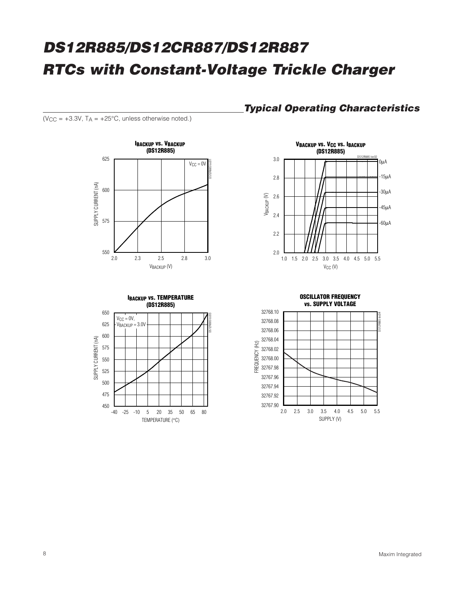( $V_{CC}$  = +3.3V,  $T_A$  = +25°C, unless otherwise noted.)





3.0





# **Typical Operating Characteristics**

**VBACKUP VS. VCC VS. IBACKUP (DS12R885)**

DS12R885 toc02

0μA -15μA

-30μA

-45μA -60μA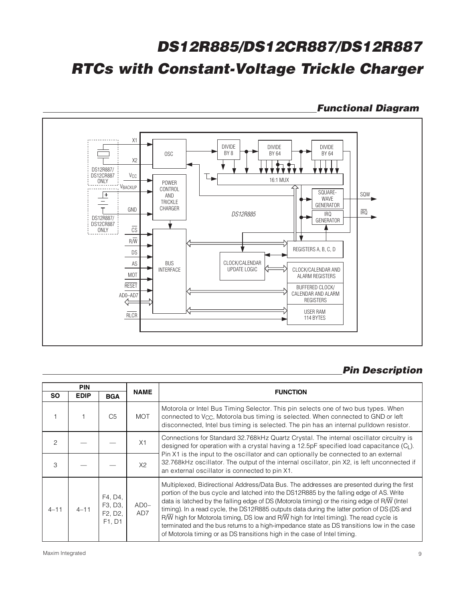## **Functional Diagram**



# **Pin Description**

|               | <b>PIN</b>  |                                                                   |               |                                                                                                                                                                                                                                                                                                                                                                                                                                                                                                                                                                                                                                                                                              |
|---------------|-------------|-------------------------------------------------------------------|---------------|----------------------------------------------------------------------------------------------------------------------------------------------------------------------------------------------------------------------------------------------------------------------------------------------------------------------------------------------------------------------------------------------------------------------------------------------------------------------------------------------------------------------------------------------------------------------------------------------------------------------------------------------------------------------------------------------|
| <b>SO</b>     | <b>EDIP</b> | <b>BGA</b>                                                        | <b>NAME</b>   | <b>FUNCTION</b>                                                                                                                                                                                                                                                                                                                                                                                                                                                                                                                                                                                                                                                                              |
|               |             | C <sub>5</sub>                                                    | <b>MOT</b>    | Motorola or Intel Bus Timing Selector. This pin selects one of two bus types. When<br>connected to V <sub>CC</sub> , Motorola bus timing is selected. When connected to GND or left<br>disconnected, Intel bus timing is selected. The pin has an internal pulldown resistor.                                                                                                                                                                                                                                                                                                                                                                                                                |
| $\mathcal{P}$ |             |                                                                   | X1            | Connections for Standard 32.768kHz Quartz Crystal. The internal oscillator circuitry is<br>designed for operation with a crystal having a 12.5pF specified load capacitance $(CL)$ .                                                                                                                                                                                                                                                                                                                                                                                                                                                                                                         |
| 3             |             |                                                                   | X2            | Pin X1 is the input to the oscillator and can optionally be connected to an external<br>32.768kHz oscillator. The output of the internal oscillator, pin X2, is left unconnected if<br>an external oscillator is connected to pin X1.                                                                                                                                                                                                                                                                                                                                                                                                                                                        |
| $4 - 11$      | $4 - 11$    | F4, D4,<br>F3, D3,<br>F <sub>2</sub> , D <sub>2</sub> ,<br>F1, D1 | $ADO-$<br>AD7 | Multiplexed, Bidirectional Address/Data Bus. The addresses are presented during the first<br>portion of the bus cycle and latched into the DS12R885 by the falling edge of AS. Write<br>data is latched by the falling edge of DS (Motorola timing) or the rising edge of $R\overline{W}$ (Intel<br>timing). In a read cycle, the DS12R885 outputs data during the latter portion of DS (DS and<br>$R\overline{W}$ high for Motorola timing, DS low and $R\overline{W}$ high for Intel timing). The read cycle is<br>terminated and the bus returns to a high-impedance state as DS transitions low in the case<br>of Motorola timing or as DS transitions high in the case of Intel timing. |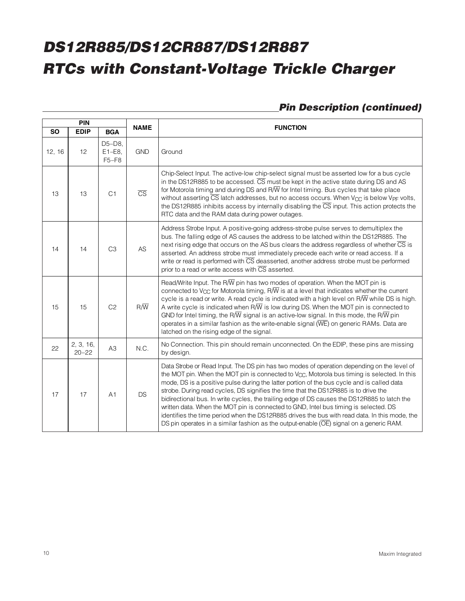# **Pin Description (continued)**

|           | PIN                    |                                 |                        |                                                                                                                                                                                                                                                                                                                                                                                                                                                                                                                                                                                                                                                                                                                                                                                 |  |  |  |  |  |
|-----------|------------------------|---------------------------------|------------------------|---------------------------------------------------------------------------------------------------------------------------------------------------------------------------------------------------------------------------------------------------------------------------------------------------------------------------------------------------------------------------------------------------------------------------------------------------------------------------------------------------------------------------------------------------------------------------------------------------------------------------------------------------------------------------------------------------------------------------------------------------------------------------------|--|--|--|--|--|
| <b>SO</b> | <b>EDIP</b>            | <b>BGA</b>                      | <b>NAME</b>            | <b>FUNCTION</b>                                                                                                                                                                                                                                                                                                                                                                                                                                                                                                                                                                                                                                                                                                                                                                 |  |  |  |  |  |
| 12, 16    | 12                     | $D5-D8$<br>$E1-E8$ ,<br>$F5-F8$ | <b>GND</b>             | Ground                                                                                                                                                                                                                                                                                                                                                                                                                                                                                                                                                                                                                                                                                                                                                                          |  |  |  |  |  |
| 13        | 13                     | C <sub>1</sub>                  | $\overline{\text{CS}}$ | Chip-Select Input. The active-low chip-select signal must be asserted low for a bus cycle<br>in the DS12R885 to be accessed. CS must be kept in the active state during DS and AS<br>for Motorola timing and during DS and R $\overline{W}$ for Intel timing. Bus cycles that take place<br>without asserting CS latch addresses, but no access occurs. When V <sub>CC</sub> is below V <sub>PF</sub> volts,<br>the DS12R885 inhibits access by internally disabling the $\overline{\text{CS}}$ input. This action protects the<br>RTC data and the RAM data during power outages.                                                                                                                                                                                              |  |  |  |  |  |
| 14        | 14                     | C <sub>3</sub>                  | AS                     | Address Strobe Input. A positive-going address-strobe pulse serves to demultiplex the<br>bus. The falling edge of AS causes the address to be latched within the DS12R885. The<br>next rising edge that occurs on the AS bus clears the address regardless of whether CS is<br>asserted. An address strobe must immediately precede each write or read access. If a<br>write or read is performed with $\overline{\text{CS}}$ deasserted, another address strobe must be performed<br>prior to a read or write access with $\overline{\text{CS}}$ asserted.                                                                                                                                                                                                                     |  |  |  |  |  |
| 15        | 15                     | C <sub>2</sub>                  | $R/\overline{W}$       | Read/Write Input. The R $\overline{W}$ pin has two modes of operation. When the MOT pin is<br>connected to V <sub>CC</sub> for Motorola timing, R $\overline{W}$ is at a level that indicates whether the current<br>cycle is a read or write. A read cycle is indicated with a high level on $R/\overline{W}$ while DS is high.<br>A write cycle is indicated when $R/\overline{W}$ is low during DS. When the MOT pin is connected to<br>GND for Intel timing, the R $\overline{N}$ signal is an active-low signal. In this mode, the R $\overline{N}$ pin<br>operates in a similar fashion as the write-enable signal $(\overline{\text{WE}})$ on generic RAMs. Data are<br>latched on the rising edge of the signal.                                                        |  |  |  |  |  |
| 22        | 2, 3, 16,<br>$20 - 22$ | A <sub>3</sub>                  | N.C.                   | No Connection. This pin should remain unconnected. On the EDIP, these pins are missing<br>by design.                                                                                                                                                                                                                                                                                                                                                                                                                                                                                                                                                                                                                                                                            |  |  |  |  |  |
| 17        | 17                     | A <sub>1</sub>                  | <b>DS</b>              | Data Strobe or Read Input. The DS pin has two modes of operation depending on the level of<br>the MOT pin. When the MOT pin is connected to V <sub>CC</sub> , Motorola bus timing is selected. In this<br>mode, DS is a positive pulse during the latter portion of the bus cycle and is called data<br>strobe. During read cycles, DS signifies the time that the DS12R885 is to drive the<br>bidirectional bus. In write cycles, the trailing edge of DS causes the DS12R885 to latch the<br>written data. When the MOT pin is connected to GND, Intel bus timing is selected. DS<br>identifies the time period when the DS12R885 drives the bus with read data. In this mode, the<br>DS pin operates in a similar fashion as the output-enable (OE) signal on a generic RAM. |  |  |  |  |  |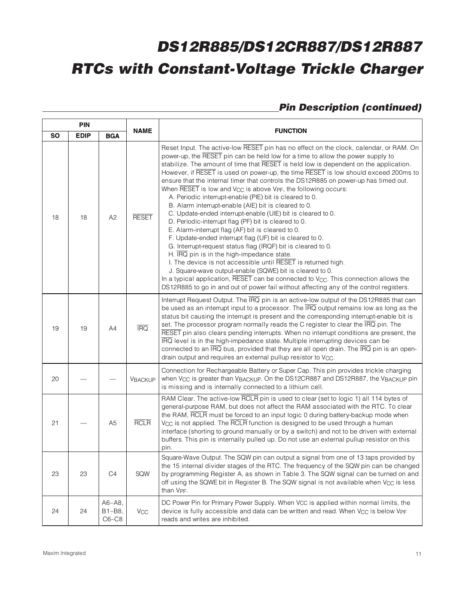# **Pin Description (continued)**

| <b>PIN</b> |             |                                  |                |                                                                                                                                                                                                                                                                                                                                                                                                                                                                                                                                                                                                                                                                                                                                                                                                                                                                                                                                                                                                                                                                                                                                                                                                                                                                                                                                                                            |  |  |  |
|------------|-------------|----------------------------------|----------------|----------------------------------------------------------------------------------------------------------------------------------------------------------------------------------------------------------------------------------------------------------------------------------------------------------------------------------------------------------------------------------------------------------------------------------------------------------------------------------------------------------------------------------------------------------------------------------------------------------------------------------------------------------------------------------------------------------------------------------------------------------------------------------------------------------------------------------------------------------------------------------------------------------------------------------------------------------------------------------------------------------------------------------------------------------------------------------------------------------------------------------------------------------------------------------------------------------------------------------------------------------------------------------------------------------------------------------------------------------------------------|--|--|--|
| <b>SO</b>  | <b>EDIP</b> | <b>BGA</b>                       | <b>NAME</b>    | <b>FUNCTION</b>                                                                                                                                                                                                                                                                                                                                                                                                                                                                                                                                                                                                                                                                                                                                                                                                                                                                                                                                                                                                                                                                                                                                                                                                                                                                                                                                                            |  |  |  |
| 18         | 18          | A <sub>2</sub>                   | <b>RESET</b>   | Reset Input. The active-low RESET pin has no effect on the clock, calendar, or RAM. On<br>power-up, the RESET pin can be held low for a time to allow the power supply to<br>stabilize. The amount of time that RESET is held low is dependent on the application.<br>However, if RESET is used on power-up, the time RESET is low should exceed 200ms to<br>ensure that the internal timer that controls the DS12R885 on power-up has timed out.<br>When $\overline{\text{RESET}}$ is low and $V_{CC}$ is above $V_{PF}$ , the following occurs:<br>A. Periodic interrupt-enable (PIE) bit is cleared to 0.<br>B. Alarm interrupt-enable (AIE) bit is cleared to 0.<br>C. Update-ended interrupt-enable (UIE) bit is cleared to 0.<br>D. Periodic-interrupt flag (PF) bit is cleared to 0.<br>E. Alarm-interrupt flag (AF) bit is cleared to 0.<br>F. Update-ended interrupt flag (UF) bit is cleared to 0.<br>G. Interrupt-request status flag (IRQF) bit is cleared to 0.<br>H. IRQ pin is in the high-impedance state.<br>I. The device is not accessible until RESET is returned high.<br>J. Square-wave output-enable (SQWE) bit is cleared to 0.<br>In a typical application, $\overline{\text{RESET}}$ can be connected to $V_{\text{CC}}$ . This connection allows the<br>DS12R885 to go in and out of power fail without affecting any of the control registers. |  |  |  |
| 19         | 19          | A4                               | <b>IRQ</b>     | Interrupt Request Output. The $\overline{IRQ}$ pin is an active-low output of the DS12R885 that can<br>be used as an interrupt input to a processor. The $\overline{IRQ}$ output remains low as long as the<br>status bit causing the interrupt is present and the corresponding interrupt-enable bit is<br>set. The processor program normally reads the C register to clear the IRQ pin. The<br>RESET pin also clears pending interrupts. When no interrupt conditions are present, the<br>IRQ level is in the high-impedance state. Multiple interrupting devices can be<br>connected to an $\overline{\text{IRQ}}$ bus, provided that they are all open drain. The $\overline{\text{IRQ}}$ pin is an open-<br>drain output and requires an external pullup resistor to V <sub>CC</sub> .                                                                                                                                                                                                                                                                                                                                                                                                                                                                                                                                                                               |  |  |  |
| 20         |             |                                  | <b>VBACKUP</b> | Connection for Rechargeable Battery or Super Cap. This pin provides trickle charging<br>when $V_{CC}$ is greater than $V_{BACKUP}$ . On the DS12CR887 and DS12R887, the $V_{BACKUP}$ pin<br>is missing and is internally connected to a lithium cell.                                                                                                                                                                                                                                                                                                                                                                                                                                                                                                                                                                                                                                                                                                                                                                                                                                                                                                                                                                                                                                                                                                                      |  |  |  |
| 21         |             | A <sub>5</sub>                   | <b>RCLR</b>    | RAM Clear. The active-low RCLR pin is used to clear (set to logic 1) all 114 bytes of<br>general-purpose RAM, but does not affect the RAM associated with the RTC. To clear<br>the RAM, RCLR must be forced to an input logic 0 during battery-backup mode when<br>V <sub>CC</sub> is not applied. The RCLR function is designed to be used through a human<br>interface (shorting to ground manually or by a switch) and not to be driven with external<br>buffers. This pin is internally pulled up. Do not use an external pullup resistor on this<br>pin.                                                                                                                                                                                                                                                                                                                                                                                                                                                                                                                                                                                                                                                                                                                                                                                                              |  |  |  |
| 23         | 23          | C4                               | SQW            | Square-Wave Output. The SQW pin can output a signal from one of 13 taps provided by<br>the 15 internal divider stages of the RTC. The frequency of the SQW pin can be changed<br>by programming Register A, as shown in Table 3. The SQW signal can be turned on and<br>off using the SQWE bit in Register B. The SQW signal is not available when V <sub>CC</sub> is less<br>than V <sub>PF</sub> .                                                                                                                                                                                                                                                                                                                                                                                                                                                                                                                                                                                                                                                                                                                                                                                                                                                                                                                                                                       |  |  |  |
| 24         | 24          | $A6 - A8$ ,<br>B1-B8,<br>$C6-C8$ | Vcc            | DC Power Pin for Primary Power Supply. When VCC is applied within normal limits, the<br>device is fully accessible and data can be written and read. When V <sub>CC</sub> is below V <sub>PF</sub><br>reads and writes are inhibited.                                                                                                                                                                                                                                                                                                                                                                                                                                                                                                                                                                                                                                                                                                                                                                                                                                                                                                                                                                                                                                                                                                                                      |  |  |  |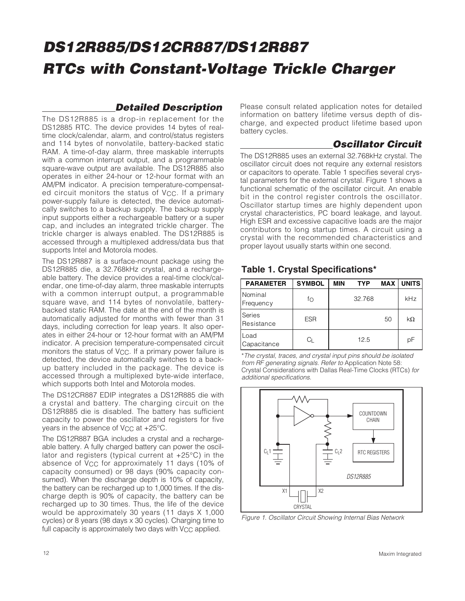### **Detailed Description**

The DS12R885 is a drop-in replacement for the DS12885 RTC. The device provides 14 bytes of realtime clock/calendar, alarm, and control/status registers and 114 bytes of nonvolatile, battery-backed static RAM. A time-of-day alarm, three maskable interrupts with a common interrupt output, and a programmable square-wave output are available. The DS12R885 also operates in either 24-hour or 12-hour format with an AM/PM indicator. A precision temperature-compensated circuit monitors the status of  $V_{CC}$ . If a primary power-supply failure is detected, the device automatically switches to a backup supply. The backup supply input supports either a rechargeable battery or a super cap, and includes an integrated trickle charger. The trickle charger is always enabled. The DS12R885 is accessed through a multiplexed address/data bus that supports Intel and Motorola modes.

The DS12R887 is a surface-mount package using the DS12R885 die, a 32.768kHz crystal, and a rechargeable battery. The device provides a real-time clock/calendar, one time-of-day alarm, three maskable interrupts with a common interrupt output, a programmable square wave, and 114 bytes of nonvolatile, batterybacked static RAM. The date at the end of the month is automatically adjusted for months with fewer than 31 days, including correction for leap years. It also operates in either 24-hour or 12-hour format with an AM/PM indicator. A precision temperature-compensated circuit monitors the status of  $V_{CC}$ . If a primary power failure is detected, the device automatically switches to a backup battery included in the package. The device is accessed through a multiplexed byte-wide interface, which supports both Intel and Motorola modes.

The DS12CR887 EDIP integrates a DS12R885 die with a crystal and battery. The charging circuit on the DS12R885 die is disabled. The battery has sufficient capacity to power the oscillator and registers for five years in the absence of V<sub>CC</sub> at +25°C.

The DS12R887 BGA includes a crystal and a rechargeable battery. A fully charged battery can power the oscillator and registers (typical current at +25°C) in the absence of V<sub>CC</sub> for approximately 11 days (10% of capacity consumed) or 98 days (90% capacity consumed). When the discharge depth is 10% of capacity, the battery can be recharged up to 1,000 times. If the discharge depth is 90% of capacity, the battery can be recharged up to 30 times. Thus, the life of the device would be approximately 30 years (11 days X 1,000 cycles) or 8 years (98 days x 30 cycles). Charging time to full capacity is approximately two days with  $V_{CC}$  applied.

Please consult related application notes for detailed information on battery lifetime versus depth of discharge, and expected product lifetime based upon battery cycles.

## **Oscillator Circuit**

The DS12R885 uses an external 32.768kHz crystal. The oscillator circuit does not require any external resistors or capacitors to operate. Table 1 specifies several crystal parameters for the external crystal. Figure 1 shows a functional schematic of the oscillator circuit. An enable bit in the control register controls the oscillator. Oscillator startup times are highly dependent upon crystal characteristics, PC board leakage, and layout. High ESR and excessive capacitive loads are the major contributors to long startup times. A circuit using a crystal with the recommended characteristics and proper layout usually starts within one second.

### **PARAMETER SYMBOL MIN TYP MAX UNITS Nominal** Frequency fo 32.768 kHz Series  $\begin{array}{c|c|c|c|c} \text{S} & \text{ESR} & & & & 50 & k\Omega \end{array}$ Load Loud Capacitance CL 12.5 pF

**Table 1. Crystal Specifications\***

\*The crystal, traces, and crystal input pins should be isolated from RF generating signals. Refer to Application Note 58: Crystal Considerations with Dallas Real-Time Clocks (RTCs) for additional specifications.



Figure 1. Oscillator Circuit Showing Internal Bias Network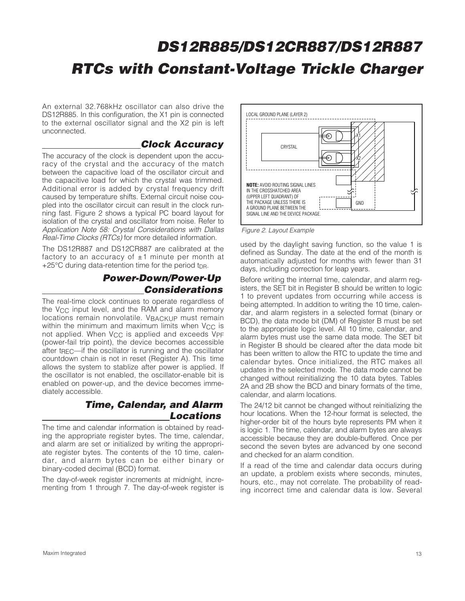An external 32.768kHz oscillator can also drive the DS12R885. In this configuration, the X1 pin is connected to the external oscillator signal and the X2 pin is left unconnected.

### **Clock Accuracy**

The accuracy of the clock is dependent upon the accuracy of the crystal and the accuracy of the match between the capacitive load of the oscillator circuit and the capacitive load for which the crystal was trimmed. Additional error is added by crystal frequency drift caused by temperature shifts. External circuit noise coupled into the oscillator circuit can result in the clock running fast. Figure 2 shows a typical PC board layout for isolation of the crystal and oscillator from noise. Refer to Application Note 58: Crystal Considerations with Dallas Real-Time Clocks (RTCs) for more detailed information.

The DS12R887 and DS12CR887 are calibrated at the factory to an accuracy of  $\pm 1$  minute per month at +25 $\degree$ C during data-retention time for the period t<sub>DR</sub>.

### **Power-Down/Power-Up Considerations**

The real-time clock continues to operate regardless of the V<sub>CC</sub> input level, and the RAM and alarm memory locations remain nonvolatile. VBACKUP must remain within the minimum and maximum limits when  $V_{CC}$  is not applied. When V<sub>CC</sub> is applied and exceeds V<sub>PF</sub> (power-fail trip point), the device becomes accessible after t<sub>REC</sub>—if the oscillator is running and the oscillator countdown chain is not in reset (Register A). This time allows the system to stablize after power is applied. If the oscillator is not enabled, the oscillator-enable bit is enabled on power-up, and the device becomes immediately accessible.

### **Time, Calendar, and Alarm Locations**

The time and calendar information is obtained by reading the appropriate register bytes. The time, calendar, and alarm are set or initialized by writing the appropriate register bytes. The contents of the 10 time, calendar, and alarm bytes can be either binary or binary-coded decimal (BCD) format.

The day-of-week register increments at midnight, incrementing from 1 through 7. The day-of-week register is



Figure 2. Layout Example

used by the daylight saving function, so the value 1 is defined as Sunday. The date at the end of the month is automatically adjusted for months with fewer than 31 days, including correction for leap years.

Before writing the internal time, calendar, and alarm registers, the SET bit in Register B should be written to logic 1 to prevent updates from occurring while access is being attempted. In addition to writing the 10 time, calendar, and alarm registers in a selected format (binary or BCD), the data mode bit (DM) of Register B must be set to the appropriate logic level. All 10 time, calendar, and alarm bytes must use the same data mode. The SET bit in Register B should be cleared after the data mode bit has been written to allow the RTC to update the time and calendar bytes. Once initialized, the RTC makes all updates in the selected mode. The data mode cannot be changed without reinitializing the 10 data bytes. Tables 2A and 2B show the BCD and binary formats of the time, calendar, and alarm locations.

The 24/12 bit cannot be changed without reinitializing the hour locations. When the 12-hour format is selected, the higher-order bit of the hours byte represents PM when it is logic 1. The time, calendar, and alarm bytes are always accessible because they are double-buffered. Once per second the seven bytes are advanced by one second and checked for an alarm condition.

If a read of the time and calendar data occurs during an update, a problem exists where seconds, minutes, hours, etc., may not correlate. The probability of reading incorrect time and calendar data is low. Several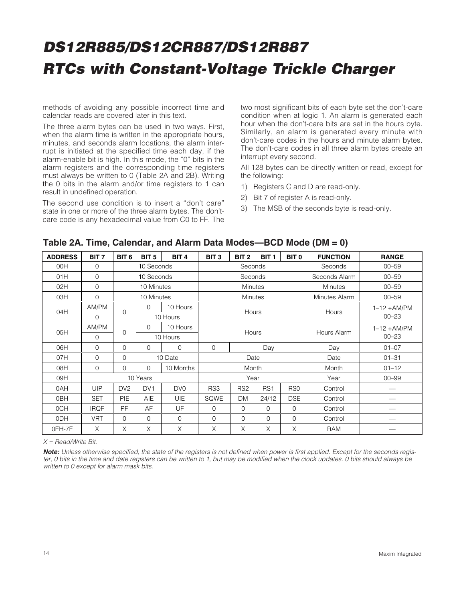methods of avoiding any possible incorrect time and calendar reads are covered later in this text.

The three alarm bytes can be used in two ways. First, when the alarm time is written in the appropriate hours, minutes, and seconds alarm locations, the alarm interrupt is initiated at the specified time each day, if the alarm-enable bit is high. In this mode, the "0" bits in the alarm registers and the corresponding time registers must always be written to 0 (Table 2A and 2B). Writing the 0 bits in the alarm and/or time registers to 1 can result in undefined operation.

The second use condition is to insert a "don't care" state in one or more of the three alarm bytes. The don'tcare code is any hexadecimal value from C0 to FF. The two most significant bits of each byte set the don't-care condition when at logic 1. An alarm is generated each hour when the don't-care bits are set in the hours byte. Similarly, an alarm is generated every minute with don't-care codes in the hours and minute alarm bytes. The don't-care codes in all three alarm bytes create an interrupt every second.

All 128 bytes can be directly written or read, except for the following:

- 1) Registers C and D are read-only.
- 2) Bit 7 of register A is read-only.
- 3) The MSB of the seconds byte is read-only.

| <b>ADDRESS</b>  | BIT <sub>7</sub> | BIT <sub>6</sub> | BIT <sub>5</sub> | BIT <sub>4</sub> | BIT <sub>3</sub> | BIT <sub>2</sub> | BIT <sub>1</sub> | BIT <sub>0</sub> | <b>FUNCTION</b> | <b>RANGE</b>   |
|-----------------|------------------|------------------|------------------|------------------|------------------|------------------|------------------|------------------|-----------------|----------------|
| 00H             | $\Omega$         |                  | 10 Seconds       |                  |                  | Seconds          |                  |                  | Seconds         | $00 - 59$      |
| 01H             | $\Omega$         |                  | 10 Seconds       |                  |                  | Seconds          |                  |                  | Seconds Alarm   | $00 - 59$      |
| 02H             | $\Omega$         |                  | 10 Minutes       |                  |                  | <b>Minutes</b>   |                  |                  | <b>Minutes</b>  | $00 - 59$      |
| 03H             | $\Omega$         |                  | 10 Minutes       |                  |                  | <b>Minutes</b>   |                  |                  | Minutes Alarm   | $00 - 59$      |
| 04H             | AM/PM            | 0                | 0                | 10 Hours         |                  | Hours            |                  |                  | Hours           | $1-12 + AM/PM$ |
|                 | $\mathbf 0$      |                  |                  | 10 Hours         |                  |                  |                  |                  |                 | $00 - 23$      |
| 05H             | AM/PM            | $\mathbf 0$      | $\Omega$         | 10 Hours         | <b>Hours</b>     |                  |                  |                  | Hours Alarm     | $1-12 + AM/PM$ |
|                 | 0                |                  |                  | 10 Hours         |                  |                  |                  |                  |                 | $00 - 23$      |
| 06H             | $\Omega$         | 0                | $\Omega$         | $\mathbf 0$      | $\mathbf{0}$     |                  | Day              |                  | Day             | $01 - 07$      |
| 07H             | $\mathbf 0$      | 0                |                  | 10 Date          |                  | Date             |                  |                  | Date            | $01 - 31$      |
| 08H             | $\Omega$         | 0                | $\Omega$         | 10 Months        |                  | Month            |                  |                  | Month           | $01 - 12$      |
| 09H             |                  |                  | 10 Years         |                  |                  | Year             |                  |                  | Year            | $00 - 99$      |
| 0AH             | UIP              | DV <sub>2</sub>  | DV <sub>1</sub>  | DV <sub>0</sub>  | RS3              | RS <sub>2</sub>  | RS <sub>1</sub>  | RS <sub>0</sub>  | Control         |                |
| 0 <sub>BH</sub> | <b>SET</b>       | PIE              | <b>AIE</b>       | <b>UIE</b>       | SQWE             | <b>DM</b>        | 24/12            | <b>DSE</b>       | Control         |                |
| 0CH             | <b>IRQF</b>      | <b>PF</b>        | AF               | UF               | $\Omega$         | 0                | $\mathbf{O}$     | $\mathbf 0$      | Control         |                |
| 0 <sub>DH</sub> | <b>VRT</b>       | 0                | $\mathbf 0$      | $\mathbf 0$      | $\mathbf 0$      | 0                | $\mathbf 0$      | $\mathbf 0$      | Control         |                |
| OEH-7F          | X                | X                | X                | X                | X                | X                | X                | X                | RAM             |                |

#### **Table 2A. Time, Calendar, and Alarm Data Modes—BCD Mode (DM = 0)**

 $X = Read/Write$  Bit.

**Note:** Unless otherwise specified, the state of the registers is not defined when power is first applied. Except for the seconds register, 0 bits in the time and date registers can be written to 1, but may be modified when the clock updates. 0 bits should always be written to 0 except for alarm mask bits.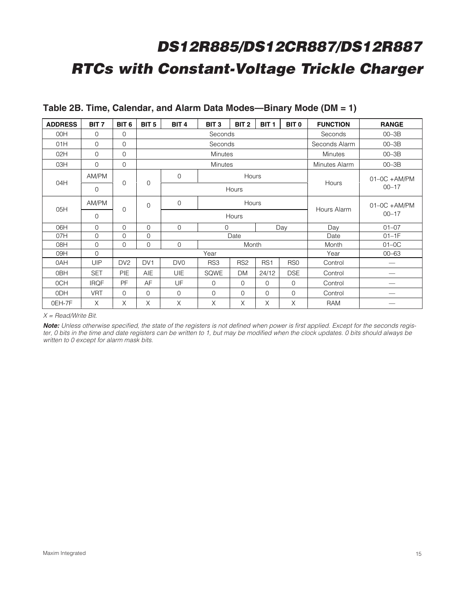| <b>ADDRESS</b> | BIT <sub>7</sub> | BIT <sub>6</sub> | BIT <sub>5</sub> | BIT <sub>4</sub>                                     | BIT <sub>3</sub> | BIT <sub>2</sub> | BIT <sub>1</sub> | BIT <sub>0</sub> | <b>FUNCTION</b> | <b>RANGE</b>    |
|----------------|------------------|------------------|------------------|------------------------------------------------------|------------------|------------------|------------------|------------------|-----------------|-----------------|
| 00H            | $\Omega$         | $\Omega$         |                  |                                                      | Seconds          |                  |                  |                  | Seconds         | $00 - 3B$       |
| 01H            | $\Omega$         | $\Omega$         |                  |                                                      | Seconds          |                  |                  |                  | Seconds Alarm   | $00 - 3B$       |
| 02H            | $\Omega$         | $\Omega$         |                  |                                                      | <b>Minutes</b>   |                  |                  |                  | <b>Minutes</b>  | $00 - 3B$       |
| 03H            | $\Omega$         | $\Omega$         |                  |                                                      | <b>Minutes</b>   |                  |                  |                  | Minutes Alarm   | $00 - 3B$       |
| 04H            | AM/PM            | $\mathbf 0$      | $\mathbf 0$      | $\Omega$                                             |                  | Hours            |                  |                  | Hours           | $01-0C + AM/PM$ |
|                | $\Omega$         |                  |                  |                                                      |                  | Hours            |                  |                  |                 | $00 - 17$       |
| 05H            | AM/PM            | $\mathbf 0$      | $\mathbf 0$      | $\mathbf 0$<br>Hours                                 |                  |                  |                  |                  | Hours Alarm     | $01-0C + AM/PM$ |
|                | $\Omega$         |                  |                  |                                                      | Hours            |                  |                  |                  |                 | $00 - 17$       |
| 06H            | $\Omega$         | $\Omega$         | $\Omega$         | $\Omega$                                             | $\Omega$         |                  |                  | Day              | Day             | $01 - 07$       |
| 07H            | $\Omega$         | $\mathbf 0$      | $\mathbf{0}$     |                                                      |                  | Date             |                  |                  | Date            | $01-1F$         |
| 08H            | $\Omega$         | $\mathbf 0$      | $\mathbf 0$      | $\mathbf 0$                                          |                  | Month            |                  |                  | Month           | $01-0C$         |
| 09H            | $\Omega$         |                  |                  |                                                      | Year             |                  |                  |                  | Year            | $00 - 63$       |
| 0AH            | <b>UIP</b>       | DV <sub>2</sub>  | DV <sub>1</sub>  | DV <sub>0</sub>                                      | RS3              | RS <sub>2</sub>  | RS <sub>1</sub>  | RS <sub>0</sub>  | Control         |                 |
| 0BH            | <b>SET</b>       | <b>PIE</b>       | AIE              | <b>UIE</b>                                           | SQWE             | <b>DM</b>        | 24/12            | <b>DSE</b>       | Control         |                 |
| 0CH            | <b>IRQF</b>      | <b>PF</b>        | AF               | UF<br>$\Omega$<br>$\Omega$<br>$\Omega$<br>$\Omega$   |                  |                  |                  | Control          |                 |                 |
| 0DH            | <b>VRT</b>       | $\Omega$         | $\Omega$         | $\mathbf 0$<br>$\Omega$<br>$\Omega$<br>0<br>$\Omega$ |                  |                  |                  | Control          |                 |                 |
| OEH-7F         | X                | X                | X                | X                                                    | $\times$         | X                | X                | X                | RAM             |                 |

### **Table 2B. Time, Calendar, and Alarm Data Modes—Binary Mode (DM = 1)**

 $X = Read/W$ rite Bit.

**Note:** Unless otherwise specified, the state of the registers is not defined when power is first applied. Except for the seconds register, 0 bits in the time and date registers can be written to 1, but may be modified when the clock updates. 0 bits should always be written to 0 except for alarm mask bits.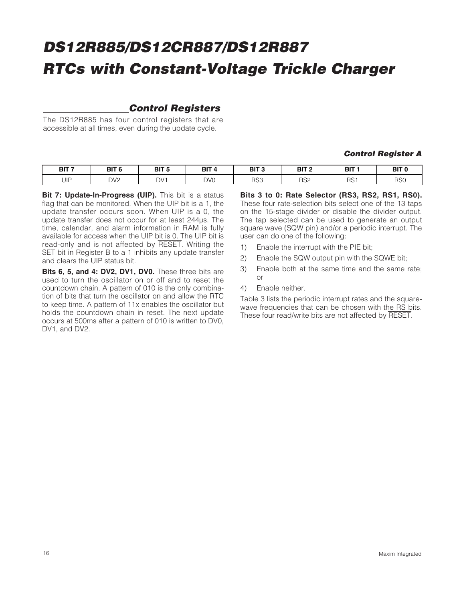# **Control Registers**

The DS12R885 has four control registers that are accessible at all times, even during the update cycle.

#### **Control Register A**

| BIT <sub>7</sub> | DIT C<br>DII.   | ם דומ | <b>BIT</b> | BIT <sub>3</sub> | פ דום<br>י ופ   | DIT.<br>DI  | BIT <sup>(</sup> |
|------------------|-----------------|-------|------------|------------------|-----------------|-------------|------------------|
| UIP              | DV <sub>2</sub> | DV1   | <b>DVC</b> | RS3              | RS <sub>2</sub> | DC-<br>ו טו | RSC<br>טטו ו     |

**Bit 7: Update-In-Progress (UIP).** This bit is a status flag that can be monitored. When the UIP bit is a 1, the update transfer occurs soon. When UIP is a 0, the update transfer does not occur for at least 244µs. The time, calendar, and alarm information in RAM is fully available for access when the UIP bit is 0. The UIP bit is read-only and is not affected by RESET. Writing the SET bit in Register B to a 1 inhibits any update transfer and clears the UIP status bit.

**Bits 6, 5, and 4: DV2, DV1, DV0.** These three bits are used to turn the oscillator on or off and to reset the countdown chain. A pattern of 010 is the only combination of bits that turn the oscillator on and allow the RTC to keep time. A pattern of 11x enables the oscillator but holds the countdown chain in reset. The next update occurs at 500ms after a pattern of 010 is written to DV0, DV1, and DV2.

**Bits 3 to 0: Rate Selector (RS3, RS2, RS1, RS0).** These four rate-selection bits select one of the 13 taps on the 15-stage divider or disable the divider output. The tap selected can be used to generate an output square wave (SQW pin) and/or a periodic interrupt. The user can do one of the following:

- 1) Enable the interrupt with the PIE bit;
- 2) Enable the SQW output pin with the SQWE bit;
- 3) Enable both at the same time and the same rate; or
- 4) Enable neither.

Table 3 lists the periodic interrupt rates and the squarewave frequencies that can be chosen with the RS bits. These four read/write bits are not affected by RESET.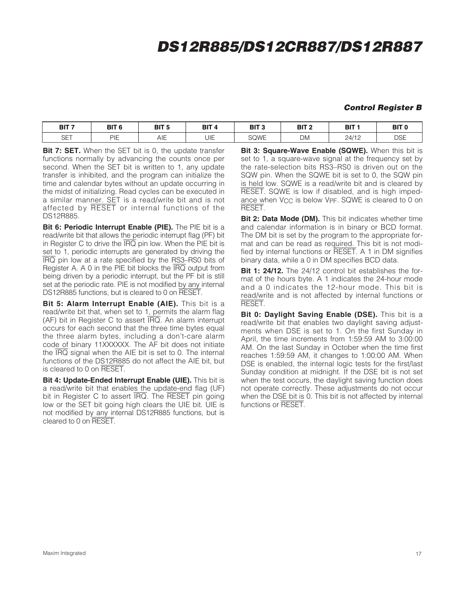# **DS12R885/DS12CR887/DS12R887**

#### **Control Register B**

| BIT <sub>7</sub><br>--- | BIT 6 | BIT <sub>5</sub>                          | BIT <sub>4</sub> | BIT <sub>3</sub><br>$\sim$ | BIT <sub>2</sub> | BIT <sub>1</sub> | BIT <sub>0</sub> |
|-------------------------|-------|-------------------------------------------|------------------|----------------------------|------------------|------------------|------------------|
| $\cap$ $\top$<br>SE I   | PIE   | $\overline{\phantom{0}}$<br>′∖ । ⊫<br>¬⊥∟ | UIE              | SQWE                       | DM               | 24/12            | NSE<br>⊔ບ∟       |

**Bit 7: SET.** When the SET bit is 0, the update transfer functions normally by advancing the counts once per second. When the SET bit is written to 1, any update transfer is inhibited, and the program can initialize the time and calendar bytes without an update occurring in the midst of initializing. Read cycles can be executed in a similar manner. SET is a read/write bit and is not affected by RESET or internal functions of the DS12R885.

**Bit 6: Periodic Interrupt Enable (PIE).** The PIE bit is a read/write bit that allows the periodic interrupt flag (PF) bit in Register C to drive the  $\overline{IRQ}$  pin low. When the PIE bit is set to 1, periodic interrupts are generated by driving the IRQ pin low at a rate specified by the RS3–RS0 bits of Register A. A 0 in the PIE bit blocks the IRQ output from being driven by a periodic interrupt, but the PF bit is still set at the periodic rate. PIE is not modified by any internal DS12R885 functions, but is cleared to 0 on RESET.

**Bit 5: Alarm Interrupt Enable (AIE).** This bit is a read/write bit that, when set to 1, permits the alarm flag (AF) bit in Register C to assert IRQ. An alarm interrupt occurs for each second that the three time bytes equal the three alarm bytes, including a don't-care alarm code of binary 11XXXXXX. The AF bit does not initiate the  $\overline{IRQ}$  signal when the AIE bit is set to 0. The internal functions of the DS12R885 do not affect the AIE bit, but is cleared to 0 on RESET.

**Bit 4: Update-Ended Interrupt Enable (UIE).** This bit is a read/write bit that enables the update-end flag (UF) bit in Register C to assert IRQ. The RESET pin going low or the SET bit going high clears the UIE bit. UIE is not modified by any internal DS12R885 functions, but is cleared to 0 on RESET.

**Bit 3: Square-Wave Enable (SQWE).** When this bit is set to 1, a square-wave signal at the frequency set by the rate-selection bits RS3–RS0 is driven out on the SQW pin. When the SQWE bit is set to 0, the SQW pin is held low. SQWE is a read/write bit and is cleared by RESET. SQWE is low if disabled, and is high impedance when V<sub>CC</sub> is below V<sub>PF</sub>. SQWE is cleared to 0 on RESET.

**Bit 2: Data Mode (DM).** This bit indicates whether time and calendar information is in binary or BCD format. The DM bit is set by the program to the appropriate format and can be read as required. This bit is not modified by internal functions or RESET. A 1 in DM signifies binary data, while a 0 in DM specifies BCD data.

**Bit 1: 24/12.** The 24/12 control bit establishes the format of the hours byte. A 1 indicates the 24-hour mode and a 0 indicates the 12-hour mode. This bit is read/write and is not affected by internal functions or RESET.

**Bit 0: Daylight Saving Enable (DSE).** This bit is a read/write bit that enables two daylight saving adjustments when DSE is set to 1. On the first Sunday in April, the time increments from 1:59:59 AM to 3:00:00 AM. On the last Sunday in October when the time first reaches 1:59:59 AM, it changes to 1:00:00 AM. When DSE is enabled, the internal logic tests for the first/last Sunday condition at midnight. If the DSE bit is not set when the test occurs, the daylight saving function does not operate correctly. These adjustments do not occur when the DSE bit is 0. This bit is not affected by internal functions or RESET.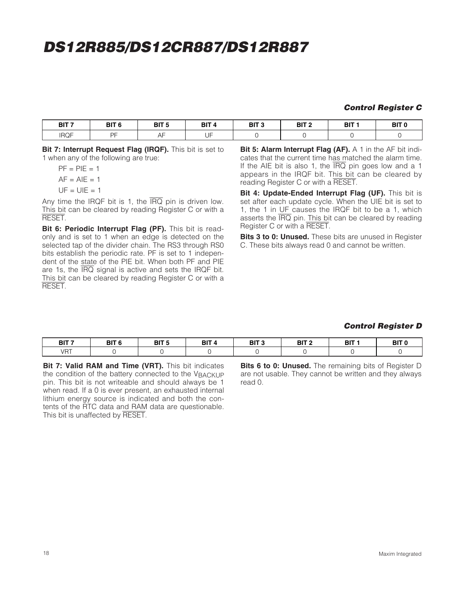# **DS12R885/DS12CR887/DS12R887**

#### **Control Register C**

| BIT <sub>7</sub> | OIT.<br>$\epsilon$<br>ы.<br>- 0 | DIT E<br>ы<br>- 11 | BIT | BIT <sub>3</sub><br>$\sim$ | י דום<br>י ווס | BIT | <b>BIT</b> |
|------------------|---------------------------------|--------------------|-----|----------------------------|----------------|-----|------------|
| <b>IRQF</b>      | nr.<br>◡                        |                    | ТD  |                            |                |     |            |

**Bit 7: Interrupt Request Flag (IRQF).** This bit is set to 1 when any of the following are true:

 $PF = PIF = 1$  $AF = AIE = 1$  $UF = UIE = 1$ 

Any time the IRQF bit is 1, the  $\overline{\text{IRQ}}$  pin is driven low. This bit can be cleared by reading Register C or with a RESET.

**Bit 6: Periodic Interrupt Flag (PF).** This bit is readonly and is set to 1 when an edge is detected on the selected tap of the divider chain. The RS3 through RS0 bits establish the periodic rate. PF is set to 1 independent of the state of the PIE bit. When both PF and PIE are 1s, the IRQ signal is active and sets the IRQF bit. This bit can be cleared by reading Register C or with a **RESET.** 

**Bit 5: Alarm Interrupt Flag (AF).** A 1 in the AF bit indicates that the current time has matched the alarm time. If the AIE bit is also 1, the  $\overline{\text{IRQ}}$  pin goes low and a 1 appears in the IRQF bit. This bit can be cleared by reading Register C or with a RESET.

**Bit 4: Update-Ended Interrupt Flag (UF).** This bit is set after each update cycle. When the UIE bit is set to 1, the 1 in UF causes the IRQF bit to be a 1, which asserts the  $\overline{IRQ}$  pin. This bit can be cleared by reading Register C or with a RESET.

**Bits 3 to 0: Unused.** These bits are unused in Register C. These bits always read 0 and cannot be written.

#### **Control Register D**

| BIT <sub>7</sub> | BIT <sub>6</sub> | --- - | BIT 4 | DIT O<br>DII<br>- 10 | DIT C<br>ы | BIT | <b>BIT</b> |
|------------------|------------------|-------|-------|----------------------|------------|-----|------------|
| VRT              |                  |       |       |                      |            |     |            |

**Bit 7: Valid RAM and Time (VRT).** This bit indicates the condition of the battery connected to the VBACKUP pin. This bit is not writeable and should always be 1 when read. If a 0 is ever present, an exhausted internal lithium energy source is indicated and both the contents of the RTC data and RAM data are questionable. This bit is unaffected by RESET.

**Bits 6 to 0: Unused.** The remaining bits of Register D are not usable. They cannot be written and they always read 0.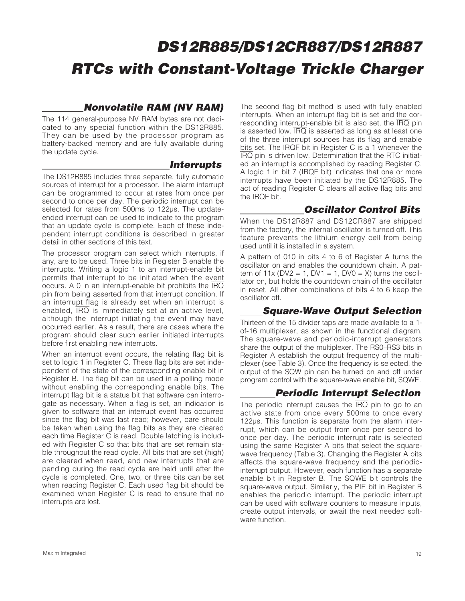### **Nonvolatile RAM (NV RAM)**

The 114 general-purpose NV RAM bytes are not dedicated to any special function within the DS12R885. They can be used by the processor program as battery-backed memory and are fully available during the update cycle.

#### **Interrupts**

The DS12R885 includes three separate, fully automatic sources of interrupt for a processor. The alarm interrupt can be programmed to occur at rates from once per second to once per day. The periodic interrupt can be selected for rates from 500ms to 122µs. The updateended interrupt can be used to indicate to the program that an update cycle is complete. Each of these independent interrupt conditions is described in greater detail in other sections of this text.

The processor program can select which interrupts, if any, are to be used. Three bits in Register B enable the interrupts. Writing a logic 1 to an interrupt-enable bit permits that interrupt to be initiated when the event occurs. A 0 in an interrupt-enable bit prohibits the IRQ pin from being asserted from that interrupt condition. If an interrupt flag is already set when an interrupt is enabled, IRQ is immediately set at an active level, although the interrupt initiating the event may have occurred earlier. As a result, there are cases where the program should clear such earlier initiated interrupts before first enabling new interrupts.

When an interrupt event occurs, the relating flag bit is set to logic 1 in Register C. These flag bits are set independent of the state of the corresponding enable bit in Register B. The flag bit can be used in a polling mode without enabling the corresponding enable bits. The interrupt flag bit is a status bit that software can interrogate as necessary. When a flag is set, an indication is given to software that an interrupt event has occurred since the flag bit was last read; however, care should be taken when using the flag bits as they are cleared each time Register C is read. Double latching is included with Register C so that bits that are set remain stable throughout the read cycle. All bits that are set (high) are cleared when read, and new interrupts that are pending during the read cycle are held until after the cycle is completed. One, two, or three bits can be set when reading Register C. Each used flag bit should be examined when Register C is read to ensure that no interrupts are lost.

The second flag bit method is used with fully enabled interrupts. When an interrupt flag bit is set and the corresponding interrupt-enable bit is also set, the  $\overline{\text{IRQ}}$  pin is asserted low. IRQ is asserted as long as at least one of the three interrupt sources has its flag and enable bits set. The IRQF bit in Register C is a 1 whenever the IRQ pin is driven low. Determination that the RTC initiated an interrupt is accomplished by reading Register C. A logic 1 in bit 7 (IRQF bit) indicates that one or more interrupts have been initiated by the DS12R885. The act of reading Register C clears all active flag bits and the IRQF bit.

# **Oscillator Control Bits**

When the DS12R887 and DS12CR887 are shipped from the factory, the internal oscillator is turned off. This feature prevents the lithium energy cell from being used until it is installed in a system.

A pattern of 010 in bits 4 to 6 of Register A turns the oscillator on and enables the countdown chain. A pattern of  $11x$  (DV2 = 1, DV1 = 1, DV0 = X) turns the oscillator on, but holds the countdown chain of the oscillator in reset. All other combinations of bits 4 to 6 keep the oscillator off.

### **Square-Wave Output Selection**

Thirteen of the 15 divider taps are made available to a 1 of-16 multiplexer, as shown in the functional diagram. The square-wave and periodic-interrupt generators share the output of the multiplexer. The RS0–RS3 bits in Register A establish the output frequency of the multiplexer (see Table 3). Once the frequency is selected, the output of the SQW pin can be turned on and off under program control with the square-wave enable bit, SQWE.

## **Periodic Interrupt Selection**

The periodic interrupt causes the  $\overline{IRQ}$  pin to go to an active state from once every 500ms to once every 122µs. This function is separate from the alarm interrupt, which can be output from once per second to once per day. The periodic interrupt rate is selected using the same Register A bits that select the squarewave frequency (Table 3). Changing the Register A bits affects the square-wave frequency and the periodicinterrupt output. However, each function has a separate enable bit in Register B. The SQWE bit controls the square-wave output. Similarly, the PIE bit in Register B enables the periodic interrupt. The periodic interrupt can be used with software counters to measure inputs, create output intervals, or await the next needed software function.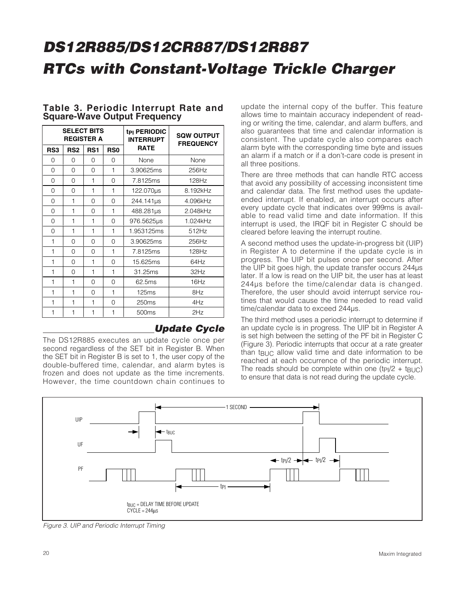|                 | <b>SELECT BITS</b><br><b>REGISTER A</b> |                 |                 | tpi PERIODIC<br><b>INTERRUPT</b> | <b>SQW OUTPUT</b><br><b>FREQUENCY</b> |  |
|-----------------|-----------------------------------------|-----------------|-----------------|----------------------------------|---------------------------------------|--|
| RS <sub>3</sub> | RS <sub>2</sub>                         | RS <sub>1</sub> | RS <sub>0</sub> | <b>RATE</b>                      |                                       |  |
| O               | $\Omega$                                | O               | O               | None                             | None                                  |  |
| 0               | $\Omega$                                | $\Omega$        | $\mathbf{1}$    | 3.90625ms                        | 256Hz                                 |  |
| $\Omega$        | 0                                       | 1               | $\Omega$        | 7.8125ms                         | 128Hz                                 |  |
| $\Omega$        | $\Omega$                                | 1               | 1               | 122.070us                        | 8.192kHz                              |  |
| $\Omega$        | 1                                       | $\Omega$        | $\Omega$        | 244.141us                        | 4.096kHz                              |  |
| 0               | $\mathbf{1}$                            | $\Omega$        | $\mathbf{1}$    | 488.281us                        | 2.048kHz                              |  |
| 0               | $\mathbf{1}$                            | 1               | $\Omega$        | 976.5625µs                       | 1.024kHz                              |  |
| 0               | 1                                       | 1               | 1               | 1.953125ms                       | 512Hz                                 |  |
| 1               | $\Omega$                                | $\Omega$        | $\Omega$        | 3.90625ms                        | 256Hz                                 |  |
| 1               | 0                                       | $\Omega$        | 1               | 7.8125ms                         | 128Hz                                 |  |
| 1               | $\Omega$                                | 1               | 0               | 15.625ms                         | 64Hz                                  |  |
| 1               | 0                                       | 1               | 1               | 31.25ms                          | 32Hz                                  |  |
| $\mathbf{1}$    | $\mathbf{1}$                            | $\Omega$        | $\Omega$        | 62.5ms                           | 16Hz                                  |  |
| $\mathbf{1}$    | 1                                       | $\Omega$        | 1               | 125ms                            | 8Hz                                   |  |
| $\mathbf{1}$    | 1                                       | 1               | $\Omega$        | 250 <sub>ms</sub>                | 4Hz                                   |  |
| 1               | 1                                       | 1               | 1               | 500 <sub>ms</sub>                | 2Hz                                   |  |

#### **Table 3. Periodic Interrupt Rate and Square-Wave Output Frequency**

### **Update Cycle**

The DS12R885 executes an update cycle once per second regardless of the SET bit in Register B. When the SET bit in Register B is set to 1, the user copy of the double-buffered time, calendar, and alarm bytes is frozen and does not update as the time increments. However, the time countdown chain continues to

update the internal copy of the buffer. This feature allows time to maintain accuracy independent of reading or writing the time, calendar, and alarm buffers, and also guarantees that time and calendar information is consistent. The update cycle also compares each alarm byte with the corresponding time byte and issues an alarm if a match or if a don't-care code is present in all three positions.

There are three methods that can handle RTC access that avoid any possibility of accessing inconsistent time and calendar data. The first method uses the updateended interrupt. If enabled, an interrupt occurs after every update cycle that indicates over 999ms is available to read valid time and date information. If this interrupt is used, the IRQF bit in Register C should be cleared before leaving the interrupt routine.

A second method uses the update-in-progress bit (UIP) in Register A to determine if the update cycle is in progress. The UIP bit pulses once per second. After the UIP bit goes high, the update transfer occurs 244µs later. If a low is read on the UIP bit, the user has at least 244µs before the time/calendar data is changed. Therefore, the user should avoid interrupt service routines that would cause the time needed to read valid time/calendar data to exceed 244µs.

The third method uses a periodic interrupt to determine if an update cycle is in progress. The UIP bit in Register A is set high between the setting of the PF bit in Register C (Figure 3). Periodic interrupts that occur at a rate greater than t<sub>BUC</sub> allow valid time and date information to be reached at each occurrence of the periodic interrupt. The reads should be complete within one  $(tp)/2 + tp/C$ to ensure that data is not read during the update cycle.



Figure 3. UIP and Periodic Interrupt Timing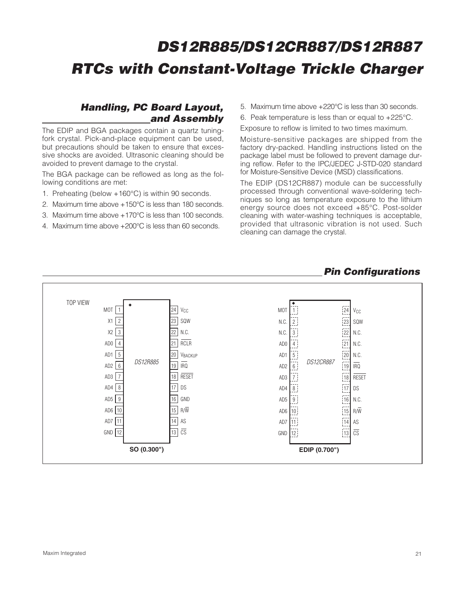### **Handling, PC Board Layout, and Assembly**

The EDIP and BGA packages contain a quartz tuningfork crystal. Pick-and-place equipment can be used, but precautions should be taken to ensure that excessive shocks are avoided. Ultrasonic cleaning should be avoided to prevent damage to the crystal.

The BGA package can be reflowed as long as the following conditions are met:

- 1. Preheating (below +160°C) is within 90 seconds.
- 2. Maximum time above +150°C is less than 180 seconds.
- 3. Maximum time above +170°C is less than 100 seconds.
- 4. Maximum time above +200°C is less than 60 seconds.
- 5. Maximum time above +220°C is less than 30 seconds.
- 6. Peak temperature is less than or equal to +225°C.

Exposure to reflow is limited to two times maximum.

Moisture-sensitive packages are shipped from the factory dry-packed. Handling instructions listed on the package label must be followed to prevent damage during reflow. Refer to the IPC/JEDEC J-STD-020 standard for Moisture-Sensitive Device (MSD) classifications.

The EDIP (DS12CR887) module can be successfully processed through conventional wave-soldering techniques so long as temperature exposure to the lithium energy source does not exceed +85°C. Post-solder cleaning with water-washing techniques is acceptable, provided that ultrasonic vibration is not used. Such cleaning can damage the crystal.

#### **Pin Configurations**

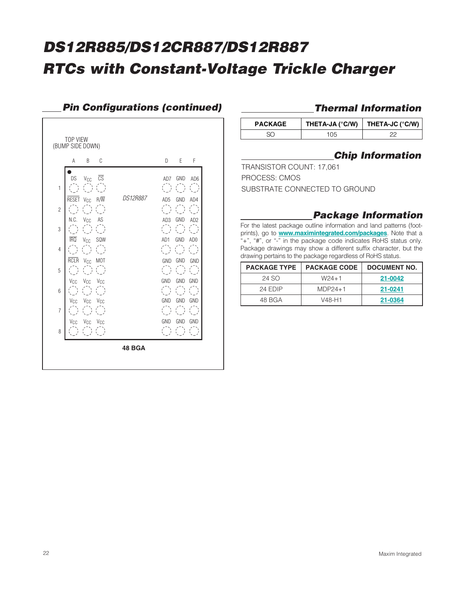

### **Pin Configurations (continued)**

## **Thermal Information**

| <b>PACKAGE</b> | THETA-JA (°C/W)   THETA-JC (°C/W) |  |
|----------------|-----------------------------------|--|
|                | '05                               |  |

# **Chip Information**

TRANSISTOR COUNT: 17,061 PROCESS: CMOS SUBSTRATE CONNECTED TO GROUND

### **Package Information**

For the latest package outline information and land patterns (footprints), go to **www.maximintegrated.com/packages**. Note that a "+", "#", or "-" in the package code indicates RoHS status only. Package drawings may show a different suffix character, but the drawing pertains to the package regardless of RoHS status.

| <b>PACKAGE TYPE</b> | <b>PACKAGE CODE</b> | DOCUMENT NO. |
|---------------------|---------------------|--------------|
| 24 SO               | $W24+1$             | 21-0042      |
| 24 FDIP             | $MDP24+1$           | 21-0241      |
| 48 BGA              | V48-H1              | 21-0364      |